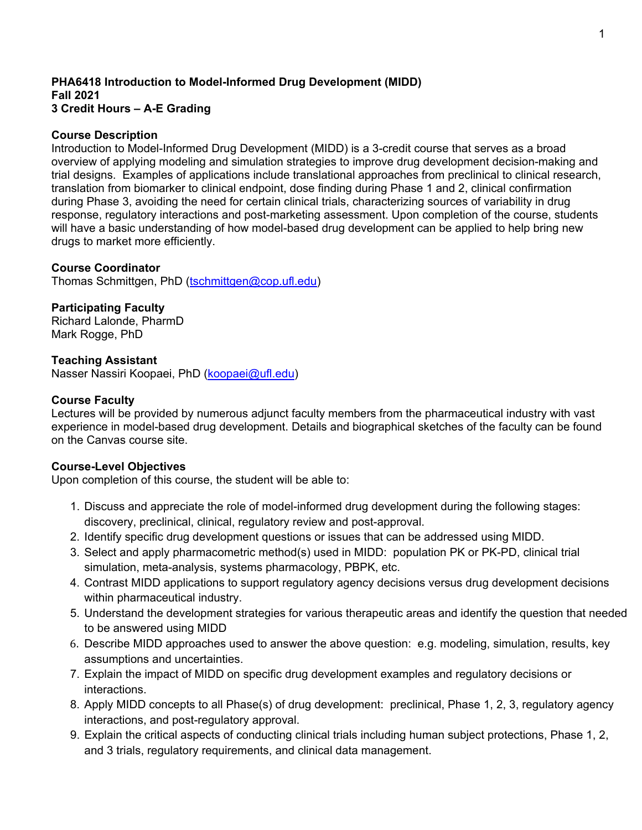#### **PHA6418 Introduction to Model-Informed Drug Development (MIDD) Fall 2021 3 Credit Hours – A-E Grading**

## **Course Description**

Introduction to Model-Informed Drug Development (MIDD) is a 3-credit course that serves as a broad overview of applying modeling and simulation strategies to improve drug development decision-making and trial designs. Examples of applications include translational approaches from preclinical to clinical research, translation from biomarker to clinical endpoint, dose finding during Phase 1 and 2, clinical confirmation during Phase 3, avoiding the need for certain clinical trials, characterizing sources of variability in drug response, regulatory interactions and post-marketing assessment. Upon completion of the course, students will have a basic understanding of how model-based drug development can be applied to help bring new drugs to market more efficiently.

## **Course Coordinator**

Thomas Schmittgen, PhD [\(tschmittgen@cop.ufl.edu\)](mailto:tschmittgen@cop.ufl.edu)

## **Participating Faculty**

Richard Lalonde, PharmD Mark Rogge, PhD

### **Teaching Assistant**

Nasser Nassiri Koopaei, PhD [\(koopaei@ufl.edu\)](mailto:koopaei@ufl.edu)

### **Course Faculty**

Lectures will be provided by numerous adjunct faculty members from the pharmaceutical industry with vast experience in model-based drug development. Details and biographical sketches of the faculty can be found on the Canvas course site.

### **Course-Level Objectives**

Upon completion of this course, the student will be able to:

- 1. Discuss and appreciate the role of model-informed drug development during the following stages: discovery, preclinical, clinical, regulatory review and post-approval.
- 2. Identify specific drug development questions or issues that can be addressed using MIDD.
- 3. Select and apply pharmacometric method(s) used in MIDD: population PK or PK-PD, clinical trial simulation, meta-analysis, systems pharmacology, PBPK, etc.
- 4. Contrast MIDD applications to support regulatory agency decisions versus drug development decisions within pharmaceutical industry.
- 5. Understand the development strategies for various therapeutic areas and identify the question that needed to be answered using MIDD
- 6. Describe MIDD approaches used to answer the above question: e.g. modeling, simulation, results, key assumptions and uncertainties.
- 7. Explain the impact of MIDD on specific drug development examples and regulatory decisions or interactions.
- 8. Apply MIDD concepts to all Phase(s) of drug development: preclinical, Phase 1, 2, 3, regulatory agency interactions, and post-regulatory approval.
- 9. Explain the critical aspects of conducting clinical trials including human subject protections, Phase 1, 2, and 3 trials, regulatory requirements, and clinical data management.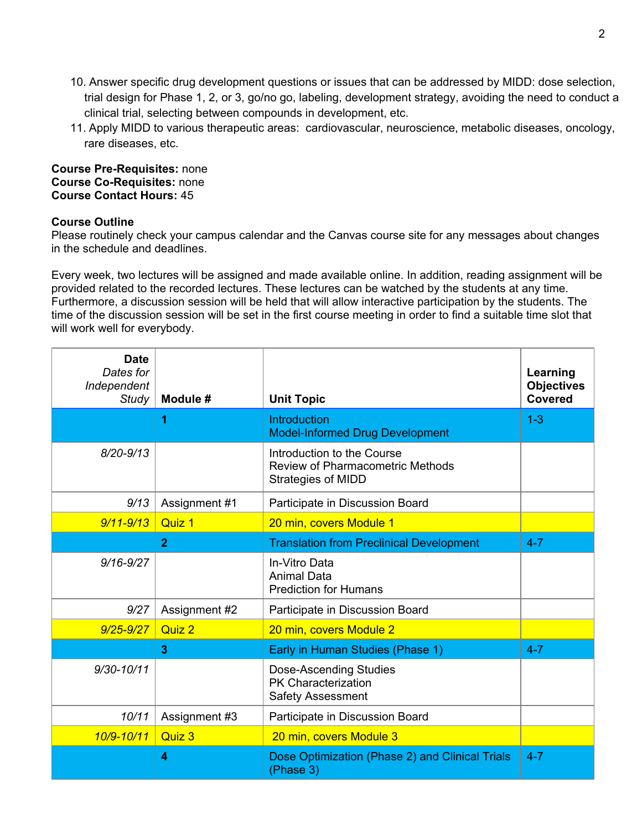- 10. Answer specific drug development questions or issues that can be addressed by MIDD: dose selection, trial design for Phase 1, 2, or 3, go/no go, labeling, development strategy, avoiding the need to conduct a clinical trial, selecting between compounds in development, etc.
- 11. Apply MIDD to various therapeutic areas: cardiovascular, neuroscience, metabolic diseases, oncology, rare diseases, etc.

### **Course Pre-Requisites:** none **Course Co-Requisites:** none **Course Contact Hours:** 45

# **Course Outline**

Please routinely check your campus calendar and the Canvas course site for any messages about changes in the schedule and deadlines.

Every week, two lectures will be assigned and made available online. In addition, reading assignment will be provided related to the recorded lectures. These lectures can be watched by the students at any time. Furthermore, a discussion session will be held that will allow interactive participation by the students. The time of the discussion session will be set in the first course meeting in order to find a suitable time slot that will work well for everybody.

| <b>Date</b><br>Dates for<br>Independent<br><b>Study</b> | Module #       | <b>Unit Topic</b>                                                                                  | Learning<br><b>Objectives</b><br><b>Covered</b> |
|---------------------------------------------------------|----------------|----------------------------------------------------------------------------------------------------|-------------------------------------------------|
|                                                         | 1              | Introduction<br><b>Model-Informed Drug Development</b>                                             | $1 - 3$                                         |
| $8/20 - 9/13$                                           |                | Introduction to the Course<br><b>Review of Pharmacometric Methods</b><br><b>Strategies of MIDD</b> |                                                 |
| 9/13                                                    | Assignment #1  | Participate in Discussion Board                                                                    |                                                 |
| $9/11 - 9/13$                                           | Quiz 1         | 20 min, covers Module 1                                                                            |                                                 |
|                                                         | $\overline{2}$ | <b>Translation from Preclinical Development</b>                                                    | $4 - 7$                                         |
| $9/16 - 9/27$                                           |                | In-Vitro Data<br><b>Animal Data</b><br><b>Prediction for Humans</b>                                |                                                 |
| 9/27                                                    | Assignment #2  | Participate in Discussion Board                                                                    |                                                 |
| $9/25 - 9/27$                                           | Quiz 2         | 20 min, covers Module 2                                                                            |                                                 |
|                                                         | 3              | Early in Human Studies (Phase 1)                                                                   | $4 - 7$                                         |
| $9/30 - 10/11$                                          |                | <b>Dose-Ascending Studies</b><br><b>PK Characterization</b><br><b>Safety Assessment</b>            |                                                 |
| 10/11                                                   | Assignment #3  | Participate in Discussion Board                                                                    |                                                 |
| 10/9-10/11                                              | Quiz 3         | 20 min, covers Module 3                                                                            |                                                 |
|                                                         | 4              | Dose Optimization (Phase 2) and Clinical Trials<br>(Phase 3)                                       | $4 - 7$                                         |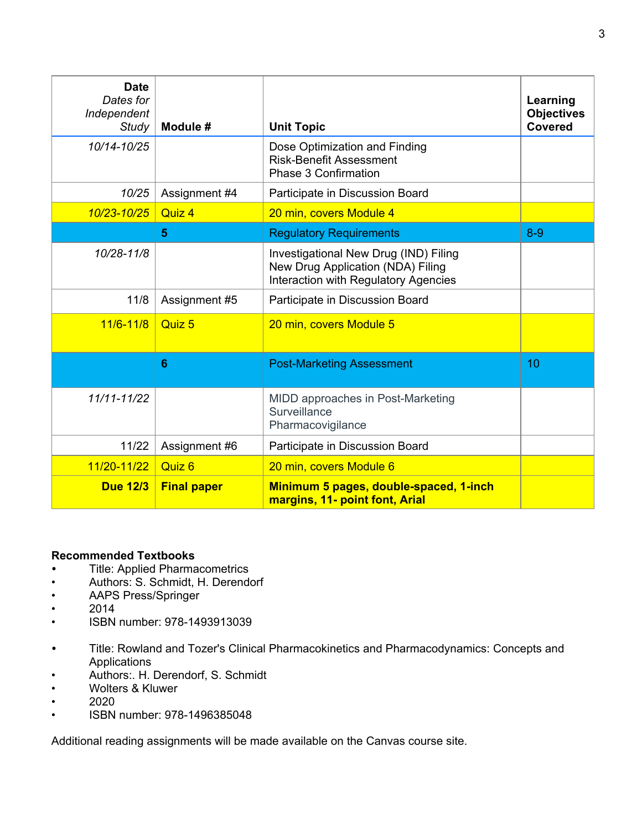| <b>Date</b><br>Dates for<br>Independent<br><b>Study</b> | Module #           | <b>Unit Topic</b>                                                                                                  | Learning<br><b>Objectives</b><br><b>Covered</b> |
|---------------------------------------------------------|--------------------|--------------------------------------------------------------------------------------------------------------------|-------------------------------------------------|
| 10/14-10/25                                             |                    | Dose Optimization and Finding<br><b>Risk-Benefit Assessment</b><br><b>Phase 3 Confirmation</b>                     |                                                 |
| 10/25                                                   | Assignment #4      | Participate in Discussion Board                                                                                    |                                                 |
| 10/23-10/25                                             | Quiz 4             | 20 min, covers Module 4                                                                                            |                                                 |
|                                                         | 5                  | <b>Regulatory Requirements</b>                                                                                     | $8 - 9$                                         |
| 10/28-11/8                                              |                    | Investigational New Drug (IND) Filing<br>New Drug Application (NDA) Filing<br>Interaction with Regulatory Agencies |                                                 |
| 11/8                                                    | Assignment #5      | Participate in Discussion Board                                                                                    |                                                 |
| $11/6 - 11/8$                                           | Quiz 5             | 20 min, covers Module 5                                                                                            |                                                 |
|                                                         | $6\phantom{1}$     | <b>Post-Marketing Assessment</b>                                                                                   | 10                                              |
| 11/11-11/22                                             |                    | MIDD approaches in Post-Marketing<br>Surveillance<br>Pharmacovigilance                                             |                                                 |
| 11/22                                                   | Assignment #6      | Participate in Discussion Board                                                                                    |                                                 |
| 11/20-11/22                                             | Quiz 6             | 20 min, covers Module 6                                                                                            |                                                 |
| <b>Due 12/3</b>                                         | <b>Final paper</b> | Minimum 5 pages, double-spaced, 1-inch<br>margins, 11- point font, Arial                                           |                                                 |

# **Recommended Textbooks**

- *•* Title: Applied Pharmacometrics
- Authors: S. Schmidt, H. Derendorf
- AAPS Press/Springer
- $\frac{1}{2014}$
- ISBN number: 978-1493913039
- *•* Title: Rowland and Tozer's Clinical Pharmacokinetics and Pharmacodynamics: Concepts and Applications
- Authors:. H. Derendorf, S. Schmidt
- Wolters & Kluwer
- $\cdot$  2020<br> $\cdot$  ISBN
- ISBN number: 978-1496385048

Additional reading assignments will be made available on the Canvas course site.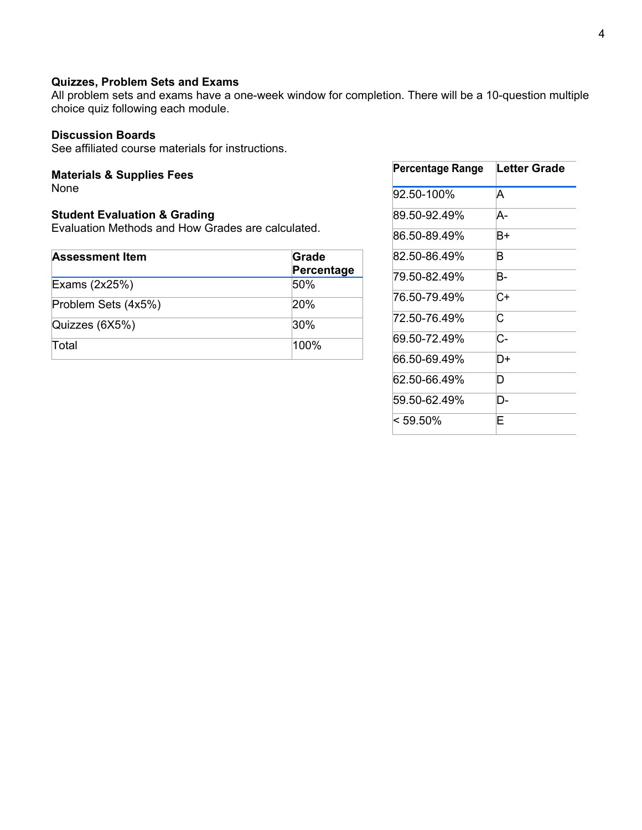# **Quizzes, Problem Sets and Exams**

All problem sets and exams have a one-week window for completion. There will be a 10-question multiple choice quiz following each module.

# **Discussion Boards**

See affiliated course materials for instructions.

# **Materials & Supplies Fees**

None

# **Student Evaluation & Grading**

Evaluation Methods and How Grades are calculated.

| <b>Assessment Item</b> | Grade<br>Percentage |  |
|------------------------|---------------------|--|
| Exams (2x25%)          | 50%                 |  |
| Problem Sets (4x5%)    | 20%                 |  |
| Quizzes (6X5%)         | 30%                 |  |
| <b>Total</b>           | 100%                |  |

| Percentage Range | Letter Grade |
|------------------|--------------|
| 92.50-100%       | A            |
| 89 50-92 49%     | A-           |
| 86 50-89 49%     | B+           |
| 82.50-86.49%     | B            |
| 79.50-82.49%     | B-           |
| 76 50-79 49%     | C+           |
| 72.50-76.49%     | С            |
| 69 50-72 49%     | C-           |
| 66 50-69 49%     | D+           |
| 62.50-66.49%     | D            |
| 59.50-62.49%     | D-           |
| $< 59.50\%$      | F            |